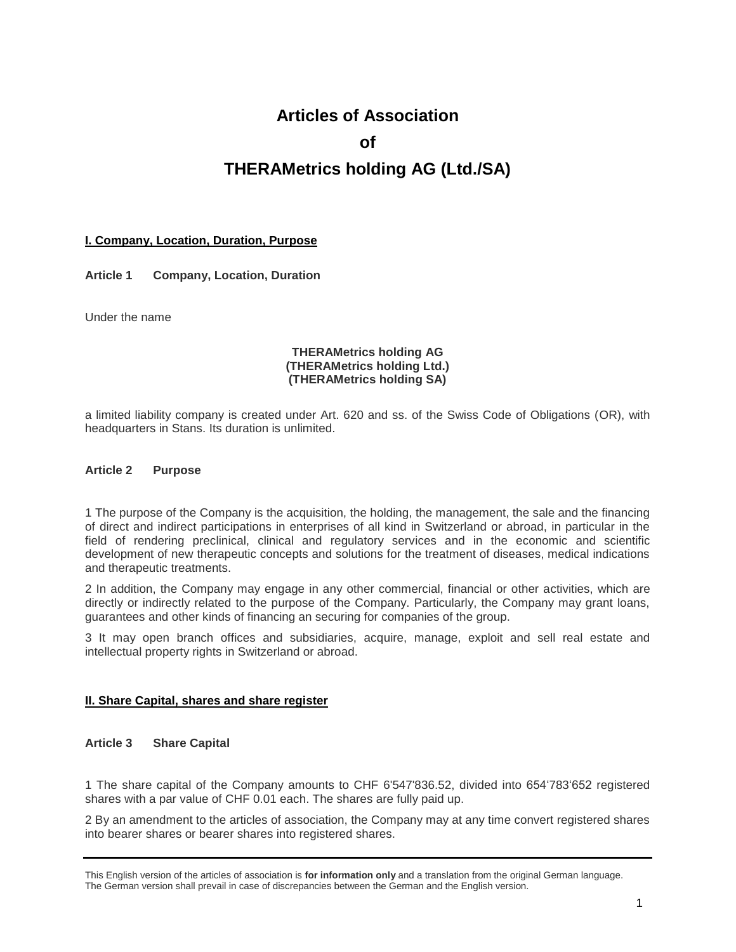# **Articles of Association**

## **of**

# **THERAMetrics holding AG (Ltd./SA)**

## **I. Company, Location, Duration, Purpose**

**Article 1 Company, Location, Duration**

Under the name

#### **THERAMetrics holding AG (THERAMetrics holding Ltd.) (THERAMetrics holding SA)**

a limited liability company is created under Art. 620 and ss. of the Swiss Code of Obligations (OR), with headquarters in Stans. Its duration is unlimited.

## **Article 2 Purpose**

1 The purpose of the Company is the acquisition, the holding, the management, the sale and the financing of direct and indirect participations in enterprises of all kind in Switzerland or abroad, in particular in the field of rendering preclinical, clinical and regulatory services and in the economic and scientific development of new therapeutic concepts and solutions for the treatment of diseases, medical indications and therapeutic treatments.

2 In addition, the Company may engage in any other commercial, financial or other activities, which are directly or indirectly related to the purpose of the Company. Particularly, the Company may grant loans, guarantees and other kinds of financing an securing for companies of the group.

3 It may open branch offices and subsidiaries, acquire, manage, exploit and sell real estate and intellectual property rights in Switzerland or abroad.

#### **II. Share Capital, shares and share register**

#### **Article 3 Share Capital**

1 The share capital of the Company amounts to CHF 6'547'836.52, divided into 654'783'652 registered shares with a par value of CHF 0.01 each. The shares are fully paid up.

2 By an amendment to the articles of association, the Company may at any time convert registered shares into bearer shares or bearer shares into registered shares.

This English version of the articles of association is **for information only** and a translation from the original German language. The German version shall prevail in case of discrepancies between the German and the English version.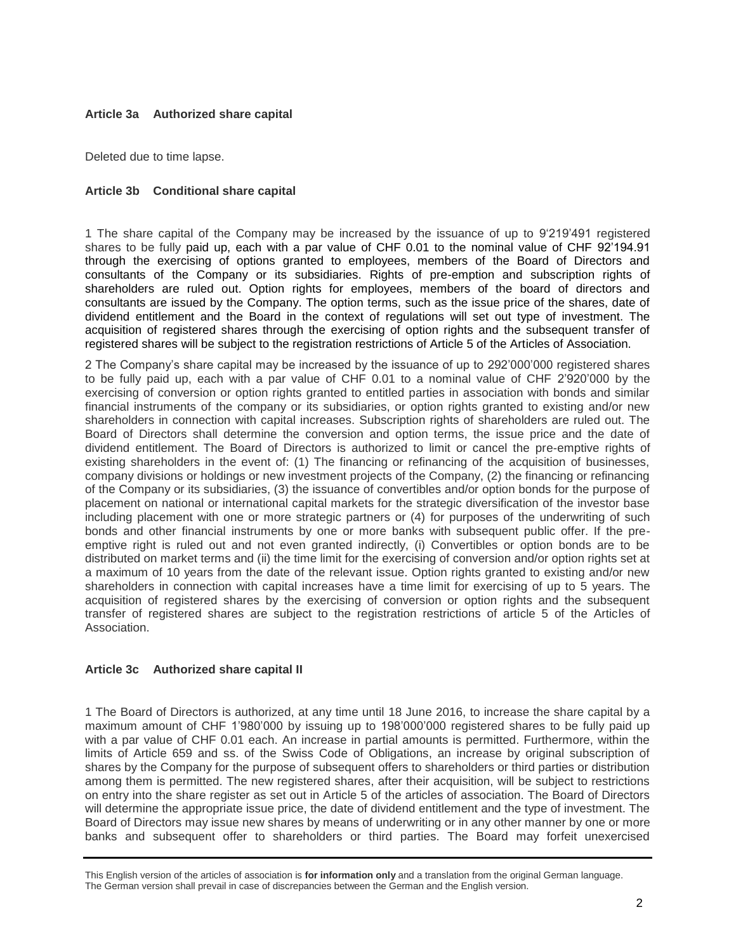## **Article 3a Authorized share capital**

Deleted due to time lapse.

## **Article 3b Conditional share capital**

1 The share capital of the Company may be increased by the issuance of up to 9'219'491 registered shares to be fully paid up, each with a par value of CHF 0.01 to the nominal value of CHF 92'194.91 through the exercising of options granted to employees, members of the Board of Directors and consultants of the Company or its subsidiaries. Rights of pre-emption and subscription rights of shareholders are ruled out. Option rights for employees, members of the board of directors and consultants are issued by the Company. The option terms, such as the issue price of the shares, date of dividend entitlement and the Board in the context of regulations will set out type of investment. The acquisition of registered shares through the exercising of option rights and the subsequent transfer of registered shares will be subject to the registration restrictions of Article 5 of the Articles of Association.

2 The Company's share capital may be increased by the issuance of up to 292'000'000 registered shares to be fully paid up, each with a par value of CHF 0.01 to a nominal value of CHF 2'920'000 by the exercising of conversion or option rights granted to entitled parties in association with bonds and similar financial instruments of the company or its subsidiaries, or option rights granted to existing and/or new shareholders in connection with capital increases. Subscription rights of shareholders are ruled out. The Board of Directors shall determine the conversion and option terms, the issue price and the date of dividend entitlement. The Board of Directors is authorized to limit or cancel the pre-emptive rights of existing shareholders in the event of: (1) The financing or refinancing of the acquisition of businesses, company divisions or holdings or new investment projects of the Company, (2) the financing or refinancing of the Company or its subsidiaries, (3) the issuance of convertibles and/or option bonds for the purpose of placement on national or international capital markets for the strategic diversification of the investor base including placement with one or more strategic partners or (4) for purposes of the underwriting of such bonds and other financial instruments by one or more banks with subsequent public offer. If the preemptive right is ruled out and not even granted indirectly, (i) Convertibles or option bonds are to be distributed on market terms and (ii) the time limit for the exercising of conversion and/or option rights set at a maximum of 10 years from the date of the relevant issue. Option rights granted to existing and/or new shareholders in connection with capital increases have a time limit for exercising of up to 5 years. The acquisition of registered shares by the exercising of conversion or option rights and the subsequent transfer of registered shares are subject to the registration restrictions of article 5 of the Articles of Association.

#### **Article 3c Authorized share capital II**

1 The Board of Directors is authorized, at any time until 18 June 2016, to increase the share capital by a maximum amount of CHF 1'980'000 by issuing up to 198'000'000 registered shares to be fully paid up with a par value of CHF 0.01 each. An increase in partial amounts is permitted. Furthermore, within the limits of Article 659 and ss. of the Swiss Code of Obligations, an increase by original subscription of shares by the Company for the purpose of subsequent offers to shareholders or third parties or distribution among them is permitted. The new registered shares, after their acquisition, will be subject to restrictions on entry into the share register as set out in Article 5 of the articles of association. The Board of Directors will determine the appropriate issue price, the date of dividend entitlement and the type of investment. The Board of Directors may issue new shares by means of underwriting or in any other manner by one or more banks and subsequent offer to shareholders or third parties. The Board may forfeit unexercised

This English version of the articles of association is **for information only** and a translation from the original German language. The German version shall prevail in case of discrepancies between the German and the English version.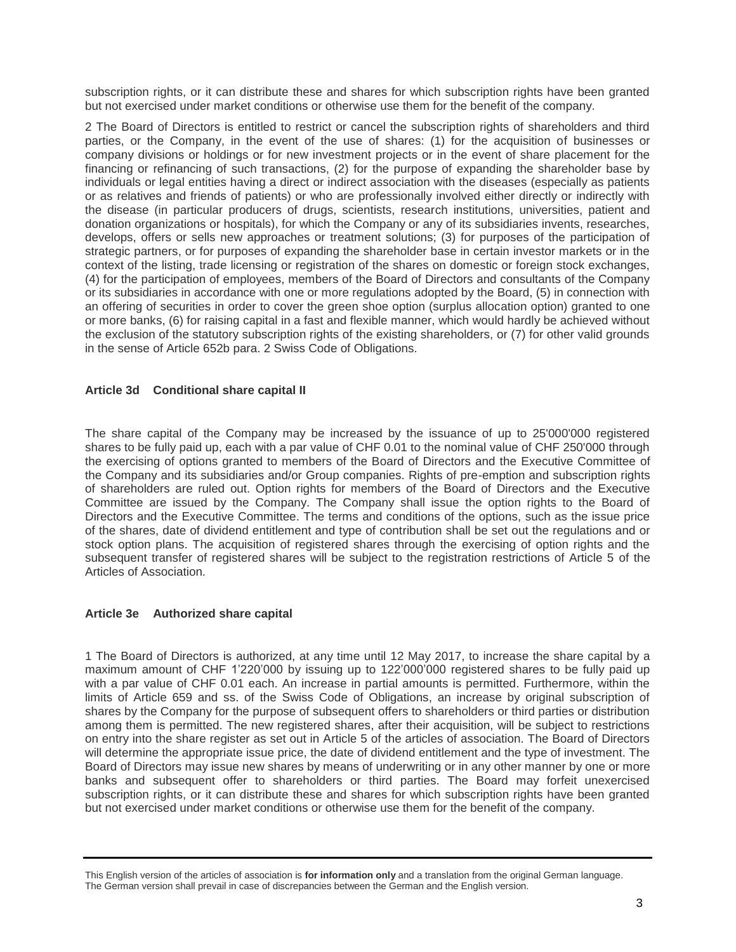subscription rights, or it can distribute these and shares for which subscription rights have been granted but not exercised under market conditions or otherwise use them for the benefit of the company.

2 The Board of Directors is entitled to restrict or cancel the subscription rights of shareholders and third parties, or the Company, in the event of the use of shares: (1) for the acquisition of businesses or company divisions or holdings or for new investment projects or in the event of share placement for the financing or refinancing of such transactions, (2) for the purpose of expanding the shareholder base by individuals or legal entities having a direct or indirect association with the diseases (especially as patients or as relatives and friends of patients) or who are professionally involved either directly or indirectly with the disease (in particular producers of drugs, scientists, research institutions, universities, patient and donation organizations or hospitals), for which the Company or any of its subsidiaries invents, researches, develops, offers or sells new approaches or treatment solutions; (3) for purposes of the participation of strategic partners, or for purposes of expanding the shareholder base in certain investor markets or in the context of the listing, trade licensing or registration of the shares on domestic or foreign stock exchanges, (4) for the participation of employees, members of the Board of Directors and consultants of the Company or its subsidiaries in accordance with one or more regulations adopted by the Board, (5) in connection with an offering of securities in order to cover the green shoe option (surplus allocation option) granted to one or more banks, (6) for raising capital in a fast and flexible manner, which would hardly be achieved without the exclusion of the statutory subscription rights of the existing shareholders, or (7) for other valid grounds in the sense of Article 652b para. 2 Swiss Code of Obligations.

## **Article 3d Conditional share capital II**

The share capital of the Company may be increased by the issuance of up to 25'000'000 registered shares to be fully paid up, each with a par value of CHF 0.01 to the nominal value of CHF 250'000 through the exercising of options granted to members of the Board of Directors and the Executive Committee of the Company and its subsidiaries and/or Group companies. Rights of pre-emption and subscription rights of shareholders are ruled out. Option rights for members of the Board of Directors and the Executive Committee are issued by the Company. The Company shall issue the option rights to the Board of Directors and the Executive Committee. The terms and conditions of the options, such as the issue price of the shares, date of dividend entitlement and type of contribution shall be set out the regulations and or stock option plans. The acquisition of registered shares through the exercising of option rights and the subsequent transfer of registered shares will be subject to the registration restrictions of Article 5 of the Articles of Association.

## **Article 3e Authorized share capital**

1 The Board of Directors is authorized, at any time until 12 May 2017, to increase the share capital by a maximum amount of CHF 1'220'000 by issuing up to 122'000'000 registered shares to be fully paid up with a par value of CHF 0.01 each. An increase in partial amounts is permitted. Furthermore, within the limits of Article 659 and ss. of the Swiss Code of Obligations, an increase by original subscription of shares by the Company for the purpose of subsequent offers to shareholders or third parties or distribution among them is permitted. The new registered shares, after their acquisition, will be subject to restrictions on entry into the share register as set out in Article 5 of the articles of association. The Board of Directors will determine the appropriate issue price, the date of dividend entitlement and the type of investment. The Board of Directors may issue new shares by means of underwriting or in any other manner by one or more banks and subsequent offer to shareholders or third parties. The Board may forfeit unexercised subscription rights, or it can distribute these and shares for which subscription rights have been granted but not exercised under market conditions or otherwise use them for the benefit of the company.

This English version of the articles of association is **for information only** and a translation from the original German language. The German version shall prevail in case of discrepancies between the German and the English version.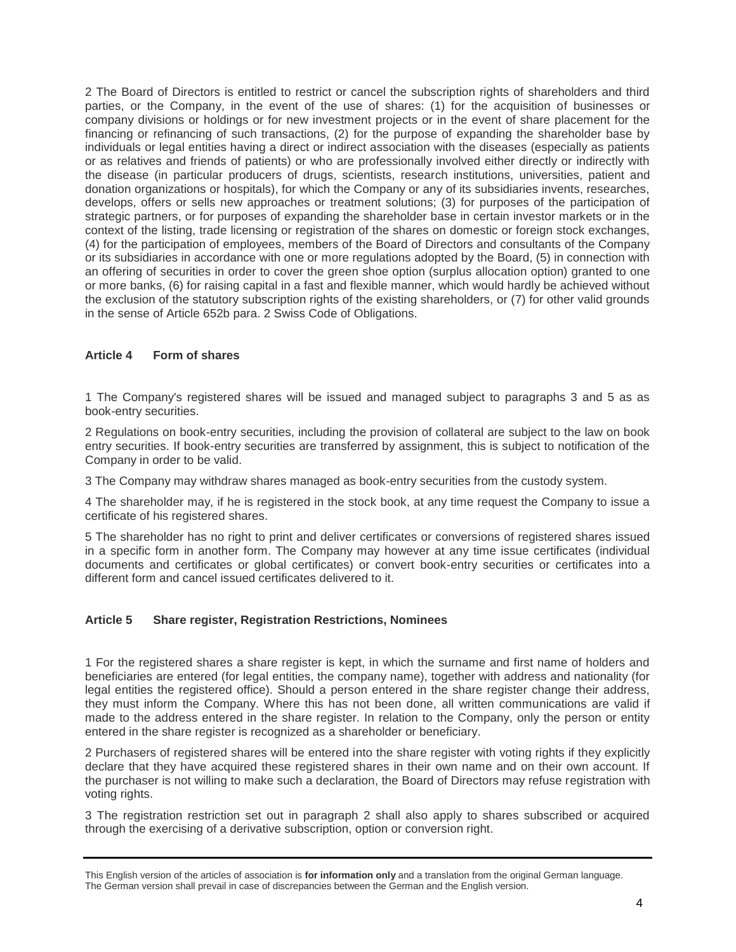2 The Board of Directors is entitled to restrict or cancel the subscription rights of shareholders and third parties, or the Company, in the event of the use of shares: (1) for the acquisition of businesses or company divisions or holdings or for new investment projects or in the event of share placement for the financing or refinancing of such transactions, (2) for the purpose of expanding the shareholder base by individuals or legal entities having a direct or indirect association with the diseases (especially as patients or as relatives and friends of patients) or who are professionally involved either directly or indirectly with the disease (in particular producers of drugs, scientists, research institutions, universities, patient and donation organizations or hospitals), for which the Company or any of its subsidiaries invents, researches, develops, offers or sells new approaches or treatment solutions; (3) for purposes of the participation of strategic partners, or for purposes of expanding the shareholder base in certain investor markets or in the context of the listing, trade licensing or registration of the shares on domestic or foreign stock exchanges, (4) for the participation of employees, members of the Board of Directors and consultants of the Company or its subsidiaries in accordance with one or more regulations adopted by the Board, (5) in connection with an offering of securities in order to cover the green shoe option (surplus allocation option) granted to one or more banks, (6) for raising capital in a fast and flexible manner, which would hardly be achieved without the exclusion of the statutory subscription rights of the existing shareholders, or (7) for other valid grounds in the sense of Article 652b para. 2 Swiss Code of Obligations.

## **Article 4 Form of shares**

1 The Company's registered shares will be issued and managed subject to paragraphs 3 and 5 as as book-entry securities.

2 Regulations on book-entry securities, including the provision of collateral are subject to the law on book entry securities. If book-entry securities are transferred by assignment, this is subject to notification of the Company in order to be valid.

3 The Company may withdraw shares managed as book-entry securities from the custody system.

4 The shareholder may, if he is registered in the stock book, at any time request the Company to issue a certificate of his registered shares.

5 The shareholder has no right to print and deliver certificates or conversions of registered shares issued in a specific form in another form. The Company may however at any time issue certificates (individual documents and certificates or global certificates) or convert book-entry securities or certificates into a different form and cancel issued certificates delivered to it.

#### **Article 5 Share register, Registration Restrictions, Nominees**

1 For the registered shares a share register is kept, in which the surname and first name of holders and beneficiaries are entered (for legal entities, the company name), together with address and nationality (for legal entities the registered office). Should a person entered in the share register change their address, they must inform the Company. Where this has not been done, all written communications are valid if made to the address entered in the share register. In relation to the Company, only the person or entity entered in the share register is recognized as a shareholder or beneficiary.

2 Purchasers of registered shares will be entered into the share register with voting rights if they explicitly declare that they have acquired these registered shares in their own name and on their own account. If the purchaser is not willing to make such a declaration, the Board of Directors may refuse registration with voting rights.

3 The registration restriction set out in paragraph 2 shall also apply to shares subscribed or acquired through the exercising of a derivative subscription, option or conversion right.

This English version of the articles of association is **for information only** and a translation from the original German language. The German version shall prevail in case of discrepancies between the German and the English version.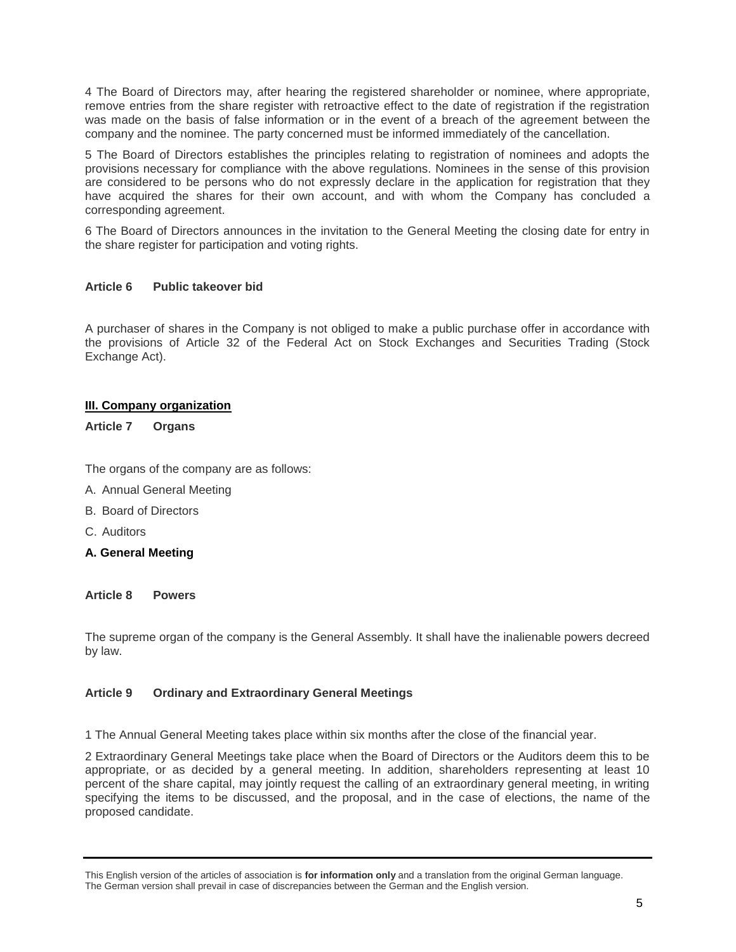4 The Board of Directors may, after hearing the registered shareholder or nominee, where appropriate, remove entries from the share register with retroactive effect to the date of registration if the registration was made on the basis of false information or in the event of a breach of the agreement between the company and the nominee. The party concerned must be informed immediately of the cancellation.

5 The Board of Directors establishes the principles relating to registration of nominees and adopts the provisions necessary for compliance with the above regulations. Nominees in the sense of this provision are considered to be persons who do not expressly declare in the application for registration that they have acquired the shares for their own account, and with whom the Company has concluded a corresponding agreement.

6 The Board of Directors announces in the invitation to the General Meeting the closing date for entry in the share register for participation and voting rights.

## **Article 6 Public takeover bid**

A purchaser of shares in the Company is not obliged to make a public purchase offer in accordance with the provisions of Article 32 of the Federal Act on Stock Exchanges and Securities Trading (Stock Exchange Act).

## **III. Company organization**

**Article 7 Organs**

The organs of the company are as follows:

- A. Annual General Meeting
- B. Board of Directors
- C. Auditors
- **A. General Meeting**

**Article 8 Powers**

The supreme organ of the company is the General Assembly. It shall have the inalienable powers decreed by law.

#### **Article 9 Ordinary and Extraordinary General Meetings**

1 The Annual General Meeting takes place within six months after the close of the financial year.

2 Extraordinary General Meetings take place when the Board of Directors or the Auditors deem this to be appropriate, or as decided by a general meeting. In addition, shareholders representing at least 10 percent of the share capital, may jointly request the calling of an extraordinary general meeting, in writing specifying the items to be discussed, and the proposal, and in the case of elections, the name of the proposed candidate.

This English version of the articles of association is **for information only** and a translation from the original German language. The German version shall prevail in case of discrepancies between the German and the English version.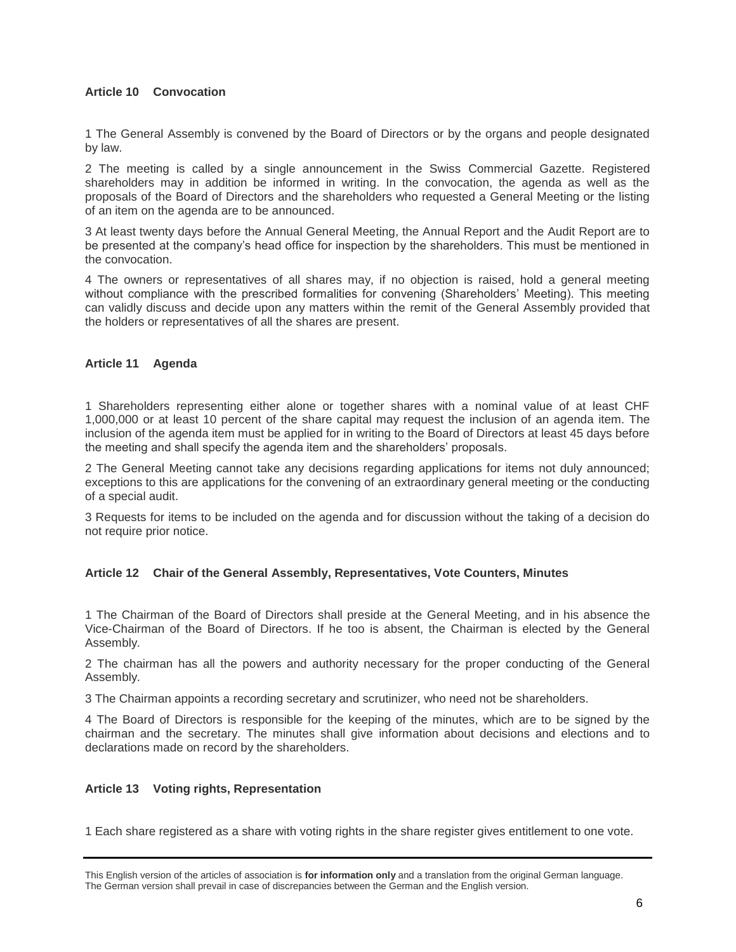## **Article 10 Convocation**

1 The General Assembly is convened by the Board of Directors or by the organs and people designated by law.

2 The meeting is called by a single announcement in the Swiss Commercial Gazette. Registered shareholders may in addition be informed in writing. In the convocation, the agenda as well as the proposals of the Board of Directors and the shareholders who requested a General Meeting or the listing of an item on the agenda are to be announced.

3 At least twenty days before the Annual General Meeting, the Annual Report and the Audit Report are to be presented at the company's head office for inspection by the shareholders. This must be mentioned in the convocation.

4 The owners or representatives of all shares may, if no objection is raised, hold a general meeting without compliance with the prescribed formalities for convening (Shareholders' Meeting). This meeting can validly discuss and decide upon any matters within the remit of the General Assembly provided that the holders or representatives of all the shares are present.

## **Article 11 Agenda**

1 Shareholders representing either alone or together shares with a nominal value of at least CHF 1,000,000 or at least 10 percent of the share capital may request the inclusion of an agenda item. The inclusion of the agenda item must be applied for in writing to the Board of Directors at least 45 days before the meeting and shall specify the agenda item and the shareholders' proposals.

2 The General Meeting cannot take any decisions regarding applications for items not duly announced; exceptions to this are applications for the convening of an extraordinary general meeting or the conducting of a special audit.

3 Requests for items to be included on the agenda and for discussion without the taking of a decision do not require prior notice.

#### **Article 12 Chair of the General Assembly, Representatives, Vote Counters, Minutes**

1 The Chairman of the Board of Directors shall preside at the General Meeting, and in his absence the Vice-Chairman of the Board of Directors. If he too is absent, the Chairman is elected by the General Assembly.

2 The chairman has all the powers and authority necessary for the proper conducting of the General Assembly.

3 The Chairman appoints a recording secretary and scrutinizer, who need not be shareholders.

4 The Board of Directors is responsible for the keeping of the minutes, which are to be signed by the chairman and the secretary. The minutes shall give information about decisions and elections and to declarations made on record by the shareholders.

#### **Article 13 Voting rights, Representation**

1 Each share registered as a share with voting rights in the share register gives entitlement to one vote.

This English version of the articles of association is **for information only** and a translation from the original German language. The German version shall prevail in case of discrepancies between the German and the English version.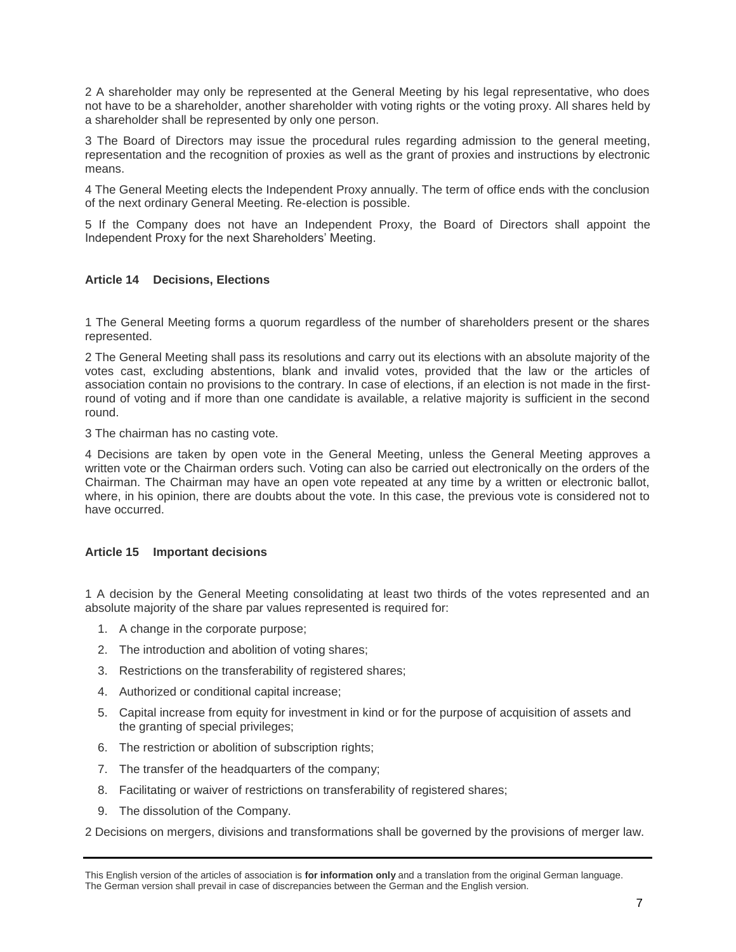2 A shareholder may only be represented at the General Meeting by his legal representative, who does not have to be a shareholder, another shareholder with voting rights or the voting proxy. All shares held by a shareholder shall be represented by only one person.

3 The Board of Directors may issue the procedural rules regarding admission to the general meeting, representation and the recognition of proxies as well as the grant of proxies and instructions by electronic means.

4 The General Meeting elects the Independent Proxy annually. The term of office ends with the conclusion of the next ordinary General Meeting. Re-election is possible.

5 If the Company does not have an Independent Proxy, the Board of Directors shall appoint the Independent Proxy for the next Shareholders' Meeting.

## **Article 14 Decisions, Elections**

1 The General Meeting forms a quorum regardless of the number of shareholders present or the shares represented.

2 The General Meeting shall pass its resolutions and carry out its elections with an absolute majority of the votes cast, excluding abstentions, blank and invalid votes, provided that the law or the articles of association contain no provisions to the contrary. In case of elections, if an election is not made in the firstround of voting and if more than one candidate is available, a relative majority is sufficient in the second round.

3 The chairman has no casting vote.

4 Decisions are taken by open vote in the General Meeting, unless the General Meeting approves a written vote or the Chairman orders such. Voting can also be carried out electronically on the orders of the Chairman. The Chairman may have an open vote repeated at any time by a written or electronic ballot, where, in his opinion, there are doubts about the vote. In this case, the previous vote is considered not to have occurred.

#### **Article 15 Important decisions**

1 A decision by the General Meeting consolidating at least two thirds of the votes represented and an absolute majority of the share par values represented is required for:

- 1. A change in the corporate purpose;
- 2. The introduction and abolition of voting shares;
- 3. Restrictions on the transferability of registered shares;
- 4. Authorized or conditional capital increase;
- 5. Capital increase from equity for investment in kind or for the purpose of acquisition of assets and the granting of special privileges;
- 6. The restriction or abolition of subscription rights;
- 7. The transfer of the headquarters of the company;
- 8. Facilitating or waiver of restrictions on transferability of registered shares;
- 9. The dissolution of the Company.

2 Decisions on mergers, divisions and transformations shall be governed by the provisions of merger law.

This English version of the articles of association is **for information only** and a translation from the original German language. The German version shall prevail in case of discrepancies between the German and the English version.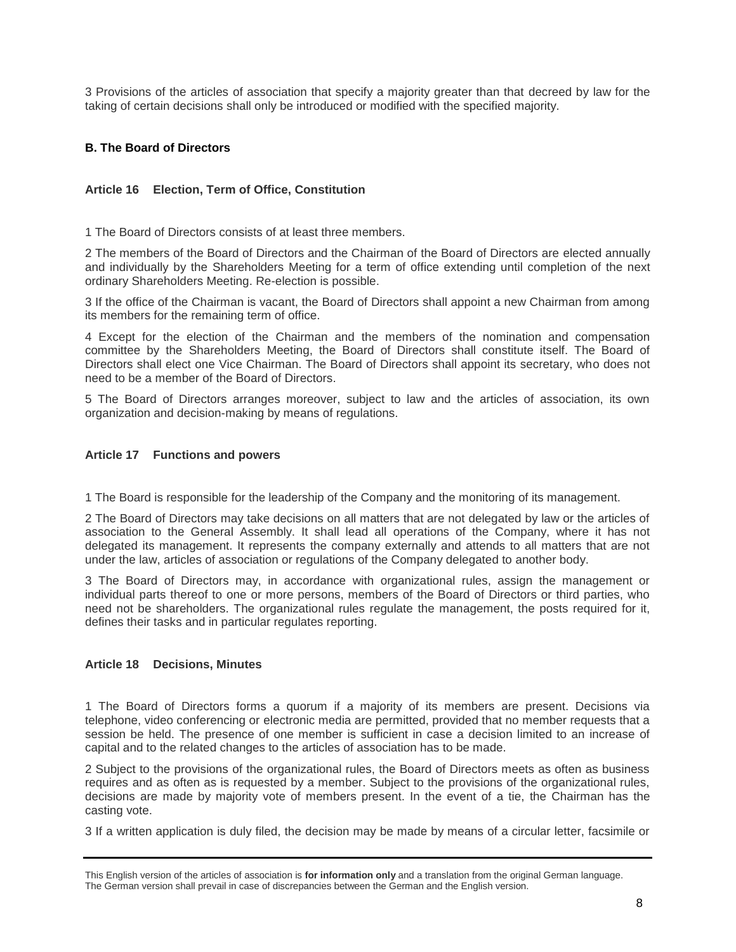3 Provisions of the articles of association that specify a majority greater than that decreed by law for the taking of certain decisions shall only be introduced or modified with the specified majority.

## **B. The Board of Directors**

## **Article 16 Election, Term of Office, Constitution**

1 The Board of Directors consists of at least three members.

2 The members of the Board of Directors and the Chairman of the Board of Directors are elected annually and individually by the Shareholders Meeting for a term of office extending until completion of the next ordinary Shareholders Meeting. Re-election is possible.

3 If the office of the Chairman is vacant, the Board of Directors shall appoint a new Chairman from among its members for the remaining term of office.

4 Except for the election of the Chairman and the members of the nomination and compensation committee by the Shareholders Meeting, the Board of Directors shall constitute itself. The Board of Directors shall elect one Vice Chairman. The Board of Directors shall appoint its secretary, who does not need to be a member of the Board of Directors.

5 The Board of Directors arranges moreover, subject to law and the articles of association, its own organization and decision-making by means of regulations.

#### **Article 17 Functions and powers**

1 The Board is responsible for the leadership of the Company and the monitoring of its management.

2 The Board of Directors may take decisions on all matters that are not delegated by law or the articles of association to the General Assembly. It shall lead all operations of the Company, where it has not delegated its management. It represents the company externally and attends to all matters that are not under the law, articles of association or regulations of the Company delegated to another body.

3 The Board of Directors may, in accordance with organizational rules, assign the management or individual parts thereof to one or more persons, members of the Board of Directors or third parties, who need not be shareholders. The organizational rules regulate the management, the posts required for it, defines their tasks and in particular regulates reporting.

#### **Article 18 Decisions, Minutes**

1 The Board of Directors forms a quorum if a majority of its members are present. Decisions via telephone, video conferencing or electronic media are permitted, provided that no member requests that a session be held. The presence of one member is sufficient in case a decision limited to an increase of capital and to the related changes to the articles of association has to be made.

2 Subject to the provisions of the organizational rules, the Board of Directors meets as often as business requires and as often as is requested by a member. Subject to the provisions of the organizational rules, decisions are made by majority vote of members present. In the event of a tie, the Chairman has the casting vote.

3 If a written application is duly filed, the decision may be made by means of a circular letter, facsimile or

This English version of the articles of association is **for information only** and a translation from the original German language. The German version shall prevail in case of discrepancies between the German and the English version.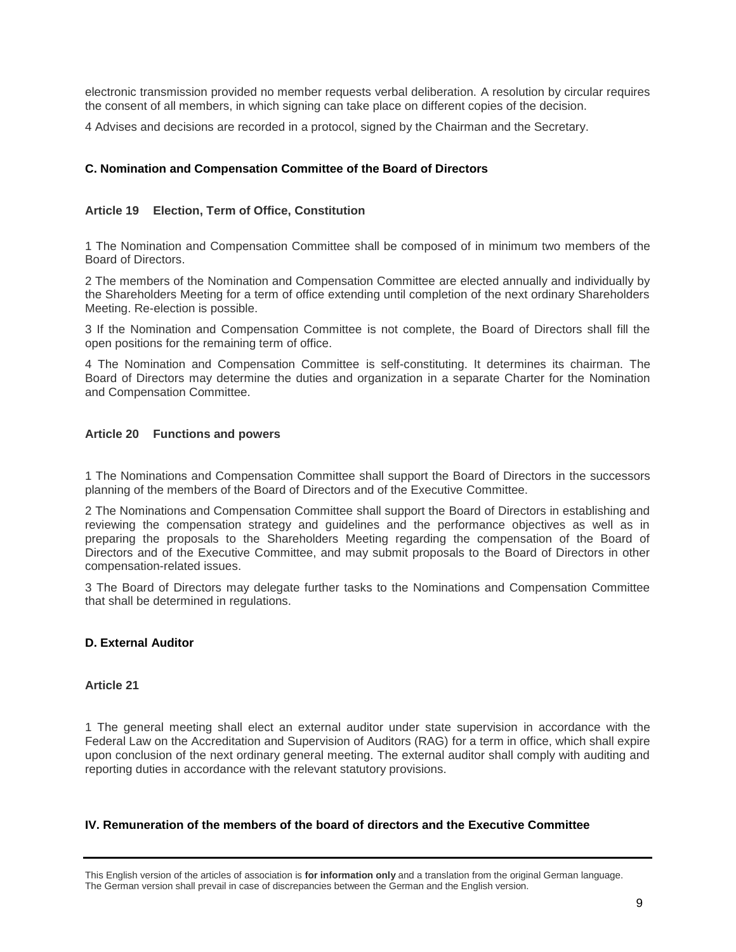electronic transmission provided no member requests verbal deliberation. A resolution by circular requires the consent of all members, in which signing can take place on different copies of the decision.

4 Advises and decisions are recorded in a protocol, signed by the Chairman and the Secretary.

## **C. Nomination and Compensation Committee of the Board of Directors**

## **Article 19 Election, Term of Office, Constitution**

1 The Nomination and Compensation Committee shall be composed of in minimum two members of the Board of Directors.

2 The members of the Nomination and Compensation Committee are elected annually and individually by the Shareholders Meeting for a term of office extending until completion of the next ordinary Shareholders Meeting. Re-election is possible.

3 If the Nomination and Compensation Committee is not complete, the Board of Directors shall fill the open positions for the remaining term of office.

4 The Nomination and Compensation Committee is self-constituting. It determines its chairman. The Board of Directors may determine the duties and organization in a separate Charter for the Nomination and Compensation Committee.

#### **Article 20 Functions and powers**

1 The Nominations and Compensation Committee shall support the Board of Directors in the successors planning of the members of the Board of Directors and of the Executive Committee.

2 The Nominations and Compensation Committee shall support the Board of Directors in establishing and reviewing the compensation strategy and guidelines and the performance objectives as well as in preparing the proposals to the Shareholders Meeting regarding the compensation of the Board of Directors and of the Executive Committee, and may submit proposals to the Board of Directors in other compensation-related issues.

3 The Board of Directors may delegate further tasks to the Nominations and Compensation Committee that shall be determined in regulations.

## **D. External Auditor**

#### **Article 21**

1 The general meeting shall elect an external auditor under state supervision in accordance with the Federal Law on the Accreditation and Supervision of Auditors (RAG) for a term in office, which shall expire upon conclusion of the next ordinary general meeting. The external auditor shall comply with auditing and reporting duties in accordance with the relevant statutory provisions.

#### **IV. Remuneration of the members of the board of directors and the Executive Committee**

This English version of the articles of association is **for information only** and a translation from the original German language. The German version shall prevail in case of discrepancies between the German and the English version.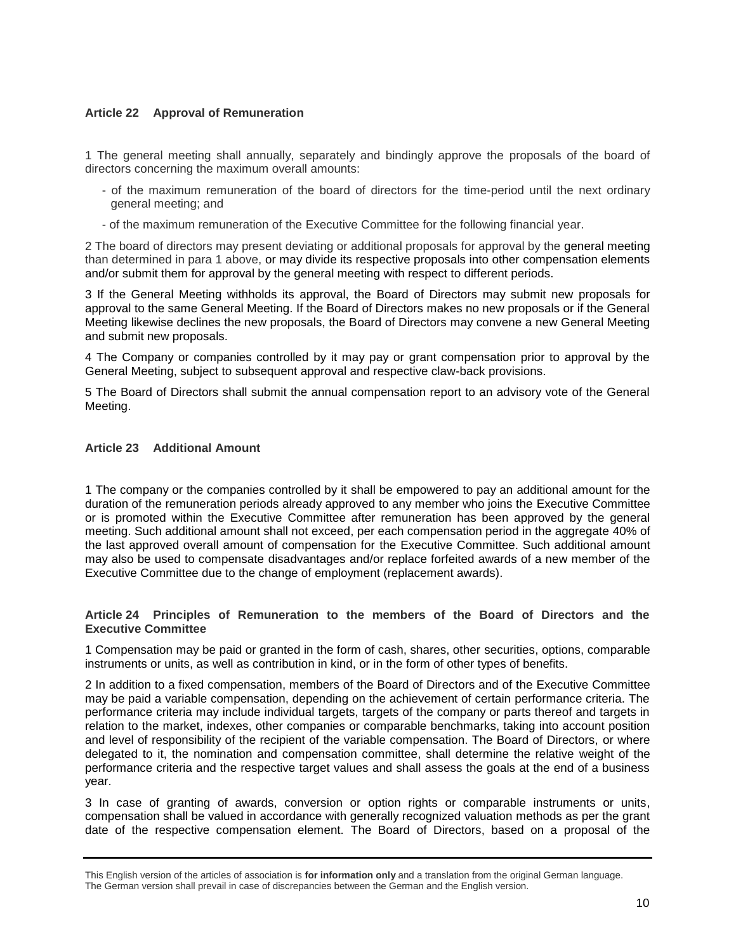## **Article 22 Approval of Remuneration**

1 The general meeting shall annually, separately and bindingly approve the proposals of the board of directors concerning the maximum overall amounts:

- of the maximum remuneration of the board of directors for the time-period until the next ordinary general meeting; and
- of the maximum remuneration of the Executive Committee for the following financial year.

2 The board of directors may present deviating or additional proposals for approval by the general meeting than determined in para 1 above, or may divide its respective proposals into other compensation elements and/or submit them for approval by the general meeting with respect to different periods.

3 If the General Meeting withholds its approval, the Board of Directors may submit new proposals for approval to the same General Meeting. If the Board of Directors makes no new proposals or if the General Meeting likewise declines the new proposals, the Board of Directors may convene a new General Meeting and submit new proposals.

4 The Company or companies controlled by it may pay or grant compensation prior to approval by the General Meeting, subject to subsequent approval and respective claw-back provisions.

5 The Board of Directors shall submit the annual compensation report to an advisory vote of the General Meeting.

## **Article 23 Additional Amount**

1 The company or the companies controlled by it shall be empowered to pay an additional amount for the duration of the remuneration periods already approved to any member who joins the Executive Committee or is promoted within the Executive Committee after remuneration has been approved by the general meeting. Such additional amount shall not exceed, per each compensation period in the aggregate 40% of the last approved overall amount of compensation for the Executive Committee. Such additional amount may also be used to compensate disadvantages and/or replace forfeited awards of a new member of the Executive Committee due to the change of employment (replacement awards).

#### **Article 24 Principles of Remuneration to the members of the Board of Directors and the Executive Committee**

1 Compensation may be paid or granted in the form of cash, shares, other securities, options, comparable instruments or units, as well as contribution in kind, or in the form of other types of benefits.

2 In addition to a fixed compensation, members of the Board of Directors and of the Executive Committee may be paid a variable compensation, depending on the achievement of certain performance criteria. The performance criteria may include individual targets, targets of the company or parts thereof and targets in relation to the market, indexes, other companies or comparable benchmarks, taking into account position and level of responsibility of the recipient of the variable compensation. The Board of Directors, or where delegated to it, the nomination and compensation committee, shall determine the relative weight of the performance criteria and the respective target values and shall assess the goals at the end of a business year.

3 In case of granting of awards, conversion or option rights or comparable instruments or units, compensation shall be valued in accordance with generally recognized valuation methods as per the grant date of the respective compensation element. The Board of Directors, based on a proposal of the

This English version of the articles of association is **for information only** and a translation from the original German language. The German version shall prevail in case of discrepancies between the German and the English version.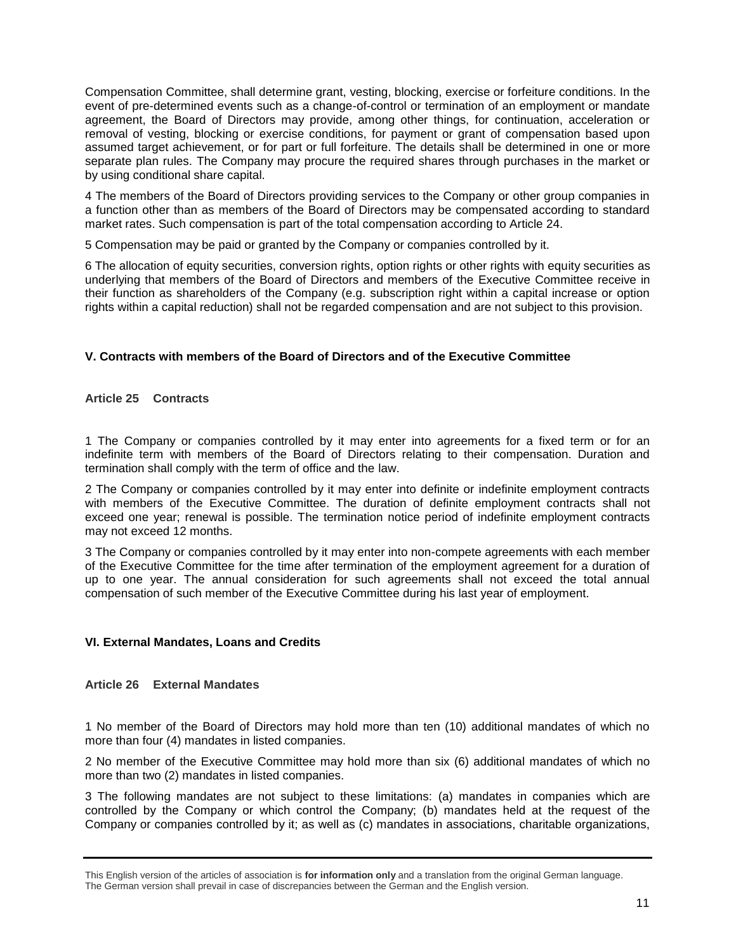Compensation Committee, shall determine grant, vesting, blocking, exercise or forfeiture conditions. In the event of pre-determined events such as a change-of-control or termination of an employment or mandate agreement, the Board of Directors may provide, among other things, for continuation, acceleration or removal of vesting, blocking or exercise conditions, for payment or grant of compensation based upon assumed target achievement, or for part or full forfeiture. The details shall be determined in one or more separate plan rules. The Company may procure the required shares through purchases in the market or by using conditional share capital.

4 The members of the Board of Directors providing services to the Company or other group companies in a function other than as members of the Board of Directors may be compensated according to standard market rates. Such compensation is part of the total compensation according to Article 24.

5 Compensation may be paid or granted by the Company or companies controlled by it.

6 The allocation of equity securities, conversion rights, option rights or other rights with equity securities as underlying that members of the Board of Directors and members of the Executive Committee receive in their function as shareholders of the Company (e.g. subscription right within a capital increase or option rights within a capital reduction) shall not be regarded compensation and are not subject to this provision.

## **V. Contracts with members of the Board of Directors and of the Executive Committee**

## **Article 25 Contracts**

1 The Company or companies controlled by it may enter into agreements for a fixed term or for an indefinite term with members of the Board of Directors relating to their compensation. Duration and termination shall comply with the term of office and the law.

2 The Company or companies controlled by it may enter into definite or indefinite employment contracts with members of the Executive Committee. The duration of definite employment contracts shall not exceed one year; renewal is possible. The termination notice period of indefinite employment contracts may not exceed 12 months.

3 The Company or companies controlled by it may enter into non-compete agreements with each member of the Executive Committee for the time after termination of the employment agreement for a duration of up to one year. The annual consideration for such agreements shall not exceed the total annual compensation of such member of the Executive Committee during his last year of employment.

## **VI. External Mandates, Loans and Credits**

#### **Article 26 External Mandates**

1 No member of the Board of Directors may hold more than ten (10) additional mandates of which no more than four (4) mandates in listed companies.

2 No member of the Executive Committee may hold more than six (6) additional mandates of which no more than two (2) mandates in listed companies.

3 The following mandates are not subject to these limitations: (a) mandates in companies which are controlled by the Company or which control the Company; (b) mandates held at the request of the Company or companies controlled by it; as well as (c) mandates in associations, charitable organizations,

This English version of the articles of association is **for information only** and a translation from the original German language. The German version shall prevail in case of discrepancies between the German and the English version.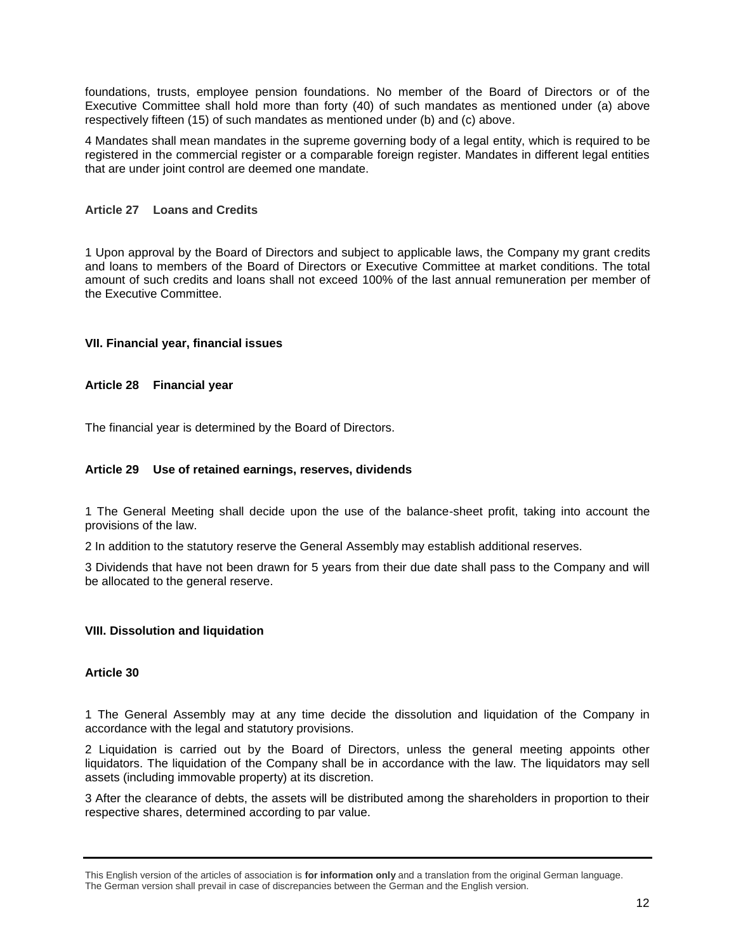foundations, trusts, employee pension foundations. No member of the Board of Directors or of the Executive Committee shall hold more than forty (40) of such mandates as mentioned under (a) above respectively fifteen (15) of such mandates as mentioned under (b) and (c) above.

4 Mandates shall mean mandates in the supreme governing body of a legal entity, which is required to be registered in the commercial register or a comparable foreign register. Mandates in different legal entities that are under joint control are deemed one mandate.

## **Article 27 Loans and Credits**

1 Upon approval by the Board of Directors and subject to applicable laws, the Company my grant credits and loans to members of the Board of Directors or Executive Committee at market conditions. The total amount of such credits and loans shall not exceed 100% of the last annual remuneration per member of the Executive Committee.

## **VII. Financial year, financial issues**

#### **Article 28 Financial year**

The financial year is determined by the Board of Directors.

## **Article 29 Use of retained earnings, reserves, dividends**

1 The General Meeting shall decide upon the use of the balance-sheet profit, taking into account the provisions of the law.

2 In addition to the statutory reserve the General Assembly may establish additional reserves.

3 Dividends that have not been drawn for 5 years from their due date shall pass to the Company and will be allocated to the general reserve.

#### **VIII. Dissolution and liquidation**

#### **Article 30**

1 The General Assembly may at any time decide the dissolution and liquidation of the Company in accordance with the legal and statutory provisions.

2 Liquidation is carried out by the Board of Directors, unless the general meeting appoints other liquidators. The liquidation of the Company shall be in accordance with the law. The liquidators may sell assets (including immovable property) at its discretion.

3 After the clearance of debts, the assets will be distributed among the shareholders in proportion to their respective shares, determined according to par value.

This English version of the articles of association is **for information only** and a translation from the original German language. The German version shall prevail in case of discrepancies between the German and the English version.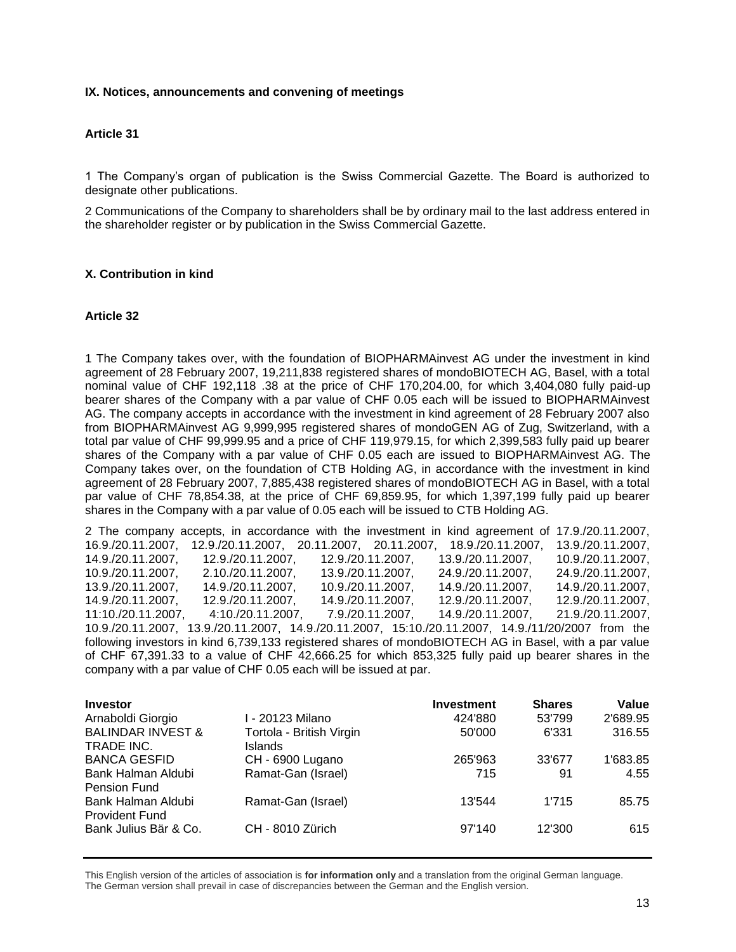## **IX. Notices, announcements and convening of meetings**

## **Article 31**

1 The Company's organ of publication is the Swiss Commercial Gazette. The Board is authorized to designate other publications.

2 Communications of the Company to shareholders shall be by ordinary mail to the last address entered in the shareholder register or by publication in the Swiss Commercial Gazette.

#### **X. Contribution in kind**

#### **Article 32**

1 The Company takes over, with the foundation of BIOPHARMAinvest AG under the investment in kind agreement of 28 February 2007, 19,211,838 registered shares of mondoBIOTECH AG, Basel, with a total nominal value of CHF 192,118 .38 at the price of CHF 170,204.00, for which 3,404,080 fully paid-up bearer shares of the Company with a par value of CHF 0.05 each will be issued to BIOPHARMAinvest AG. The company accepts in accordance with the investment in kind agreement of 28 February 2007 also from BIOPHARMAinvest AG 9,999,995 registered shares of mondoGEN AG of Zug, Switzerland, with a total par value of CHF 99,999.95 and a price of CHF 119,979.15, for which 2,399,583 fully paid up bearer shares of the Company with a par value of CHF 0.05 each are issued to BIOPHARMAinvest AG. The Company takes over, on the foundation of CTB Holding AG, in accordance with the investment in kind agreement of 28 February 2007, 7,885,438 registered shares of mondoBIOTECH AG in Basel, with a total par value of CHF 78,854.38, at the price of CHF 69,859.95, for which 1,397,199 fully paid up bearer shares in the Company with a par value of 0.05 each will be issued to CTB Holding AG.

| 2 The company accepts, in accordance with the investment in kind agreement of 17.9./20.11.2007,       |                                                             |                   |                   |                   |                   |                   |  |
|-------------------------------------------------------------------------------------------------------|-------------------------------------------------------------|-------------------|-------------------|-------------------|-------------------|-------------------|--|
| 16.9./20.11.2007.                                                                                     | 12.9./20.11.2007, 20.11.2007, 20.11.2007, 18.9./20.11.2007, |                   |                   |                   |                   | 13.9./20.11.2007, |  |
| 14.9./20.11.2007,                                                                                     | 12.9./20.11.2007,                                           |                   | 12.9./20.11.2007, |                   | 13.9./20.11.2007, | 10.9./20.11.2007, |  |
| 10.9./20.11.2007,                                                                                     | 2.10./20.11.2007,                                           |                   |                   | 13.9./20.11.2007, | 24.9./20.11.2007. | 24.9./20.11.2007, |  |
| 13.9./20.11.2007,                                                                                     | 14.9./20.11.2007,                                           |                   | 10.9./20.11.2007, |                   | 14.9./20.11.2007, | 14.9./20.11.2007, |  |
| 14.9./20.11.2007,                                                                                     | 12.9./20.11.2007,                                           |                   | 14.9./20.11.2007, |                   | 12.9./20.11.2007, | 12.9./20.11.2007, |  |
| 11:10./20.11.2007,                                                                                    |                                                             | 4:10./20.11.2007, |                   | 7.9./20.11.2007,  | 14.9./20.11.2007, | 21.9./20.11.2007, |  |
| 10.9./20.11.2007, 13.9./20.11.2007, 14.9./20.11.2007, 15:10./20.11.2007, 14.9./11/20/2007 from the    |                                                             |                   |                   |                   |                   |                   |  |
| following investors in kind 6,739,133 registered shares of mondoBIOTECH AG in Basel, with a par value |                                                             |                   |                   |                   |                   |                   |  |
| of CHF 67,391.33 to a value of CHF 42,666.25 for which 853,325 fully paid up bearer shares in the     |                                                             |                   |                   |                   |                   |                   |  |
| company with a par value of CHF 0.05 each will be issued at par.                                      |                                                             |                   |                   |                   |                   |                   |  |

| <b>Investor</b>                             |                                      | <b>Investment</b> | <b>Shares</b> | Value    |
|---------------------------------------------|--------------------------------------|-------------------|---------------|----------|
| Arnaboldi Giorgio                           | I - 20123 Milano                     | 424'880           | 53'799        | 2'689.95 |
| <b>BALINDAR INVEST &amp;</b><br>TRADE INC.  | Tortola - British Virgin<br>Islands. | 50'000            | 6'331         | 316.55   |
| <b>BANCA GESFID</b>                         | CH - 6900 Lugano                     | 265'963           | 33'677        | 1'683.85 |
| Bank Halman Aldubi<br>Pension Fund          | Ramat-Gan (Israel)                   | 715               | 91            | 4.55     |
| Bank Halman Aldubi<br><b>Provident Fund</b> | Ramat-Gan (Israel)                   | 13'544            | 1'715         | 85.75    |
| Bank Julius Bär & Co.                       | CH - 8010 Zürich                     | 97'140            | 12'300        | 615      |

This English version of the articles of association is **for information only** and a translation from the original German language. The German version shall prevail in case of discrepancies between the German and the English version.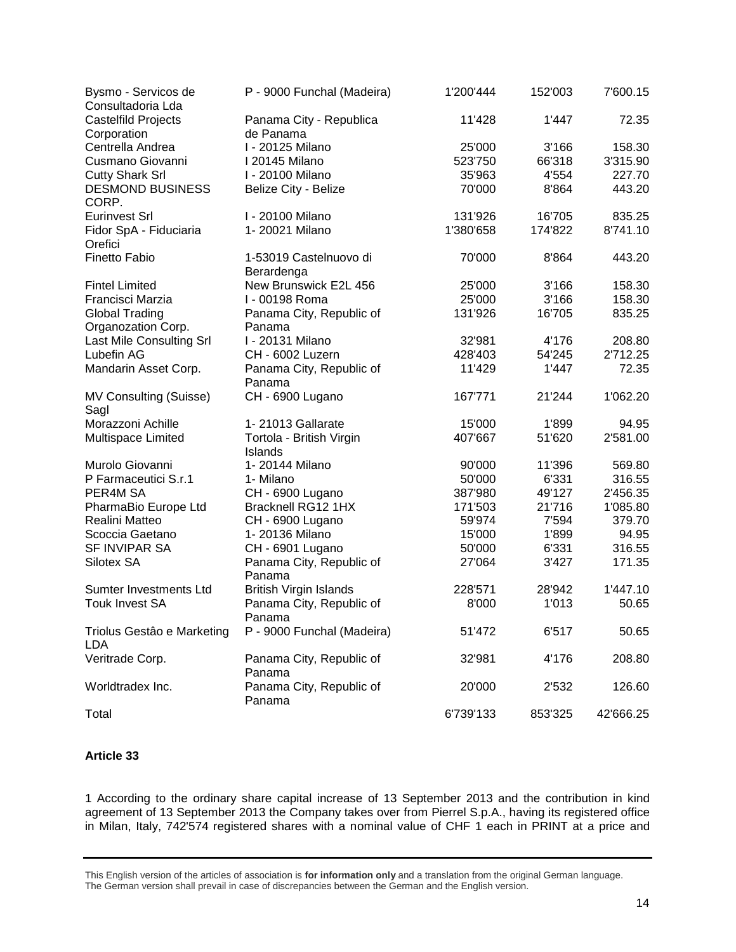| Bysmo - Servicos de<br>Consultadoria Lda | P - 9000 Funchal (Madeira)           | 1'200'444 | 152'003 | 7'600.15  |
|------------------------------------------|--------------------------------------|-----------|---------|-----------|
| <b>Castelfild Projects</b>               | Panama City - Republica              | 11'428    | 1'447   | 72.35     |
| Corporation                              | de Panama                            |           |         |           |
| Centrella Andrea                         | I - 20125 Milano                     | 25'000    | 3'166   | 158.30    |
| Cusmano Giovanni                         | I 20145 Milano                       | 523'750   | 66'318  | 3'315.90  |
| <b>Cutty Shark Srl</b>                   | I - 20100 Milano                     | 35'963    | 4'554   | 227.70    |
| <b>DESMOND BUSINESS</b><br>CORP.         | Belize City - Belize                 | 70'000    | 8'864   | 443.20    |
| <b>Eurinvest Srl</b>                     | I - 20100 Milano                     | 131'926   | 16'705  | 835.25    |
| Fidor SpA - Fiduciaria<br>Orefici        | 1-20021 Milano                       | 1'380'658 | 174'822 | 8'741.10  |
| <b>Finetto Fabio</b>                     | 1-53019 Castelnuovo di<br>Berardenga | 70'000    | 8'864   | 443.20    |
| <b>Fintel Limited</b>                    | New Brunswick E2L 456                | 25'000    | 3'166   | 158.30    |
| Francisci Marzia                         | I - 00198 Roma                       | 25'000    | 3'166   | 158.30    |
|                                          |                                      | 131'926   | 16'705  | 835.25    |
| <b>Global Trading</b>                    | Panama City, Republic of             |           |         |           |
| Organozation Corp.                       | Panama                               |           |         |           |
| Last Mile Consulting Srl                 | I - 20131 Milano                     | 32'981    | 4'176   | 208.80    |
| Lubefin AG                               | CH - 6002 Luzern                     | 428'403   | 54'245  | 2'712.25  |
| Mandarin Asset Corp.                     | Panama City, Republic of<br>Panama   | 11'429    | 1'447   | 72.35     |
| MV Consulting (Suisse)<br>Sagl           | CH - 6900 Lugano                     | 167'771   | 21'244  | 1'062.20  |
| Morazzoni Achille                        | 1-21013 Gallarate                    | 15'000    | 1'899   | 94.95     |
| Multispace Limited                       | Tortola - British Virgin<br>Islands  | 407'667   | 51'620  | 2'581.00  |
| Murolo Giovanni                          | 1-20144 Milano                       | 90'000    | 11'396  | 569.80    |
| P Farmaceutici S.r.1                     | 1- Milano                            | 50'000    | 6'331   | 316.55    |
| PER4M SA                                 | CH - 6900 Lugano                     | 387'980   | 49'127  | 2'456.35  |
| PharmaBio Europe Ltd                     | Bracknell RG12 1HX                   | 171'503   | 21'716  | 1'085.80  |
| Realini Matteo                           | CH - 6900 Lugano                     | 59'974    | 7'594   | 379.70    |
| Scoccia Gaetano                          | 1-20136 Milano                       | 15'000    | 1'899   | 94.95     |
| <b>SF INVIPAR SA</b>                     | CH - 6901 Lugano                     | 50'000    | 6'331   | 316.55    |
| Silotex SA                               | Panama City, Republic of             | 27'064    | 3'427   | 171.35    |
|                                          | Panama                               |           |         |           |
| Sumter Investments Ltd                   | <b>British Virgin Islands</b>        | 228'571   | 28'942  | 1'447.10  |
| <b>Touk Invest SA</b>                    | Panama City, Republic of<br>Panama   | 8'000     | 1'013   | 50.65     |
| Triolus Gestão e Marketing<br><b>LDA</b> | P - 9000 Funchal (Madeira)           | 51'472    | 6'517   | 50.65     |
| Veritrade Corp.                          | Panama City, Republic of<br>Panama   | 32'981    | 4'176   | 208.80    |
| Worldtradex Inc.                         | Panama City, Republic of<br>Panama   | 20'000    | 2'532   | 126.60    |
| Total                                    |                                      | 6'739'133 | 853'325 | 42'666.25 |

## **Article 33**

1 According to the ordinary share capital increase of 13 September 2013 and the contribution in kind agreement of 13 September 2013 the Company takes over from Pierrel S.p.A., having its registered office in Milan, Italy, 742'574 registered shares with a nominal value of CHF 1 each in PRINT at a price and

This English version of the articles of association is **for information only** and a translation from the original German language. The German version shall prevail in case of discrepancies between the German and the English version.